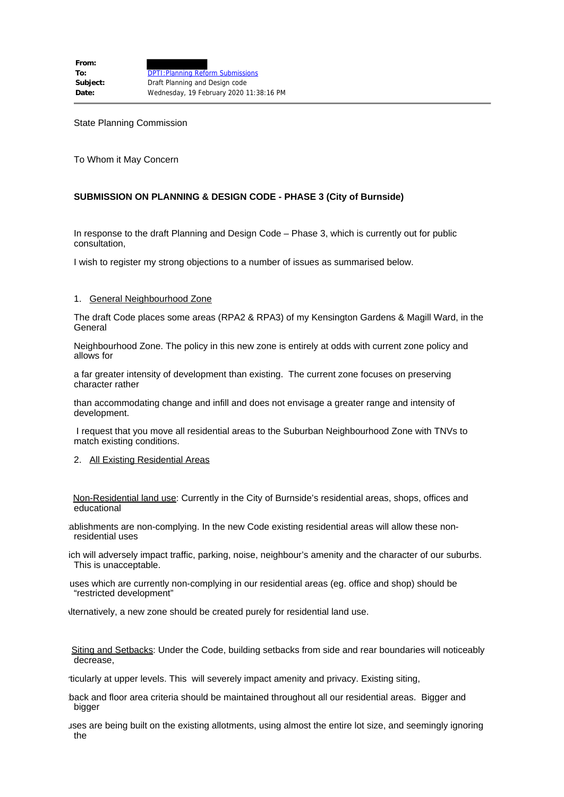State Planning Commission

To Whom it May Concern

# **SUBMISSION ON PLANNING & DESIGN CODE - PHASE 3 (City of Burnside)**

In response to the draft Planning and Design Code – Phase 3, which is currently out for public consultation,

I wish to register my strong objections to a number of issues as summarised below.

### 1. General Neighbourhood Zone

The draft Code places some areas (RPA2 & RPA3) of my Kensington Gardens & Magill Ward, in the General

Neighbourhood Zone. The policy in this new zone is entirely at odds with current zone policy and allows for

a far greater intensity of development than existing. The current zone focuses on preserving character rather

than accommodating change and infill and does not envisage a greater range and intensity of development.

I request that you move all residential areas to the Suburban Neighbourhood Zone with TNVs to match existing conditions.

2. All Existing Residential Areas

 Non-Residential land use: Currently in the City of Burnside's residential areas, shops, offices and educational

tablishments are non-complying. In the new Code existing residential areas will allow these nonresidential uses

ich will adversely impact traffic, parking, noise, neighbour's amenity and the character of our suburbs. This is unacceptable.

 uses which are currently non-complying in our residential areas (eg. office and shop) should be "restricted development"

Alternatively, a new zone should be created purely for residential land use.

 Siting and Setbacks: Under the Code, building setbacks from side and rear boundaries will noticeably decrease,

rticularly at upper levels. This will severely impact amenity and privacy. Existing siting,

tback and floor area criteria should be maintained throughout all our residential areas. Bigger and bigger

uses are being built on the existing allotments, using almost the entire lot size, and seemingly ignoring the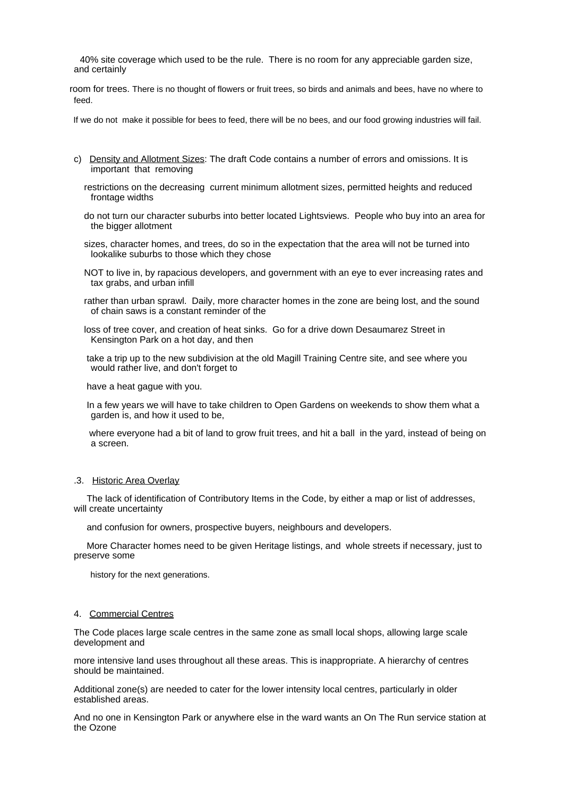40% site coverage which used to be the rule. There is no room for any appreciable garden size, and certainly

 room for trees. There is no thought of flowers or fruit trees, so birds and animals and bees, have no where to feed.

If we do not make it possible for bees to feed, there will be no bees, and our food growing industries will fail.

- c) Density and Allotment Sizes: The draft Code contains a number of errors and omissions. It is important that removing
	- restrictions on the decreasing current minimum allotment sizes, permitted heights and reduced frontage widths
	- do not turn our character suburbs into better located Lightsviews. People who buy into an area for the bigger allotment
	- sizes, character homes, and trees, do so in the expectation that the area will not be turned into lookalike suburbs to those which they chose
	- NOT to live in, by rapacious developers, and government with an eye to ever increasing rates and tax grabs, and urban infill
	- rather than urban sprawl. Daily, more character homes in the zone are being lost, and the sound of chain saws is a constant reminder of the
	- loss of tree cover, and creation of heat sinks. Go for a drive down Desaumarez Street in Kensington Park on a hot day, and then
	- take a trip up to the new subdivision at the old Magill Training Centre site, and see where you would rather live, and don't forget to

have a heat gague with you.

 In a few years we will have to take children to Open Gardens on weekends to show them what a garden is, and how it used to be,

 where everyone had a bit of land to grow fruit trees, and hit a ball in the yard, instead of being on a screen.

#### .3. Historic Area Overlay

 The lack of identification of Contributory Items in the Code, by either a map or list of addresses, will create uncertainty

and confusion for owners, prospective buyers, neighbours and developers.

 More Character homes need to be given Heritage listings, and whole streets if necessary, just to preserve some

history for the next generations.

### 4. Commercial Centres

The Code places large scale centres in the same zone as small local shops, allowing large scale development and

more intensive land uses throughout all these areas. This is inappropriate. A hierarchy of centres should be maintained.

Additional zone(s) are needed to cater for the lower intensity local centres, particularly in older established areas.

And no one in Kensington Park or anywhere else in the ward wants an On The Run service station at the Ozone